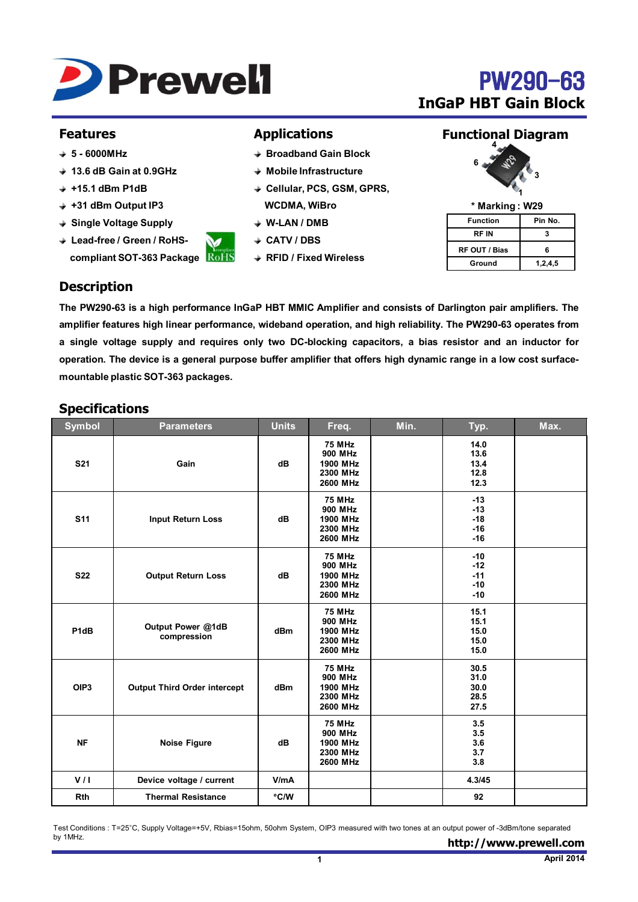

# **PW290-63 InGaP HBT Gain Block**

#### **Features**

- **5 - 6000MHz**
- **13.6 dB Gain at 0.9GHz**
- **+15.1 dBm P1dB**
- **+31 dBm Output IP3**
- **Single Voltage Supply**
- **Lead-free / Green / RoHScompliant SOT-363 Package**

#### **Applications**

- **Broadband Gain Block**
- **Mobile Infrastructure**
- **Cellular, PCS, GSM, GPRS, WCDMA, WiBro**
- **W-LAN / DMB**
- **CATV / DBS**
- **RFID / Fixed Wireless**

### **Functional Diagram**



**\* Marking : W29**

| Function      | Pin No. |  |  |  |
|---------------|---------|--|--|--|
| RF IN         | з       |  |  |  |
| RF OUT / Bias | 6       |  |  |  |
| Ground        | 1,2,4,5 |  |  |  |

# **Description**

The PW290-63 is a high performance InGaP HBT MMIC Amplifier and consists of Darlington pair amplifiers. The **amplifier features high linear performance, wideband operation, and high reliability. The PW290-63 operates from a single voltage supply and requires only two DC-blocking capacitors, a bias resistor and an inductor for** operation. The device is a general purpose buffer amplifier that offers high dynamic range in a low cost surface**mountable plastic SOT-363 packages.**

### **Specifications**

| <b>Symbol</b>    | <b>Parameters</b>                   | <b>Units</b> | Freq.                                                        | Min. | Typ.                                      | Max. |
|------------------|-------------------------------------|--------------|--------------------------------------------------------------|------|-------------------------------------------|------|
| <b>S21</b>       | Gain                                | dB           | <b>75 MHz</b><br>900 MHz<br>1900 MHz<br>2300 MHz<br>2600 MHz |      | 14.0<br>13.6<br>13.4<br>12.8<br>12.3      |      |
| <b>S11</b>       | <b>Input Return Loss</b>            | dB           | <b>75 MHz</b><br>900 MHz<br>1900 MHz<br>2300 MHz<br>2600 MHz |      | $-13$<br>$-13$<br>$-18$<br>$-16$<br>$-16$ |      |
| <b>S22</b>       | <b>Output Return Loss</b>           | dB           | <b>75 MHz</b><br>900 MHz<br>1900 MHz<br>2300 MHz<br>2600 MHz |      | $-10$<br>$-12$<br>$-11$<br>$-10$<br>$-10$ |      |
| P1dB             | Output Power @1dB<br>compression    | dBm          | <b>75 MHz</b><br>900 MHz<br>1900 MHz<br>2300 MHz<br>2600 MHz |      | 15.1<br>15.1<br>15.0<br>15.0<br>15.0      |      |
| OIP <sub>3</sub> | <b>Output Third Order intercept</b> | dBm          | <b>75 MHz</b><br>900 MHz<br>1900 MHz<br>2300 MHz<br>2600 MHz |      | 30.5<br>31.0<br>30.0<br>28.5<br>27.5      |      |
| <b>NF</b>        | <b>Noise Figure</b>                 | dB           | <b>75 MHz</b><br>900 MHz<br>1900 MHz<br>2300 MHz<br>2600 MHz |      | 3.5<br>3.5<br>3.6<br>3.7<br>3.8           |      |
| V/I              | Device voltage / current            | V/mA         |                                                              |      | 4.3/45                                    |      |
| <b>Rth</b>       | <b>Thermal Resistance</b>           | °C/W         |                                                              |      | 92                                        |      |

Test Conditions : T=25°C, Supply Voltage=+5V, Rbias=15ohm, 50ohm System, OIP3 measured with two tones at an output power of -3dBm/tone separated by 1MHz.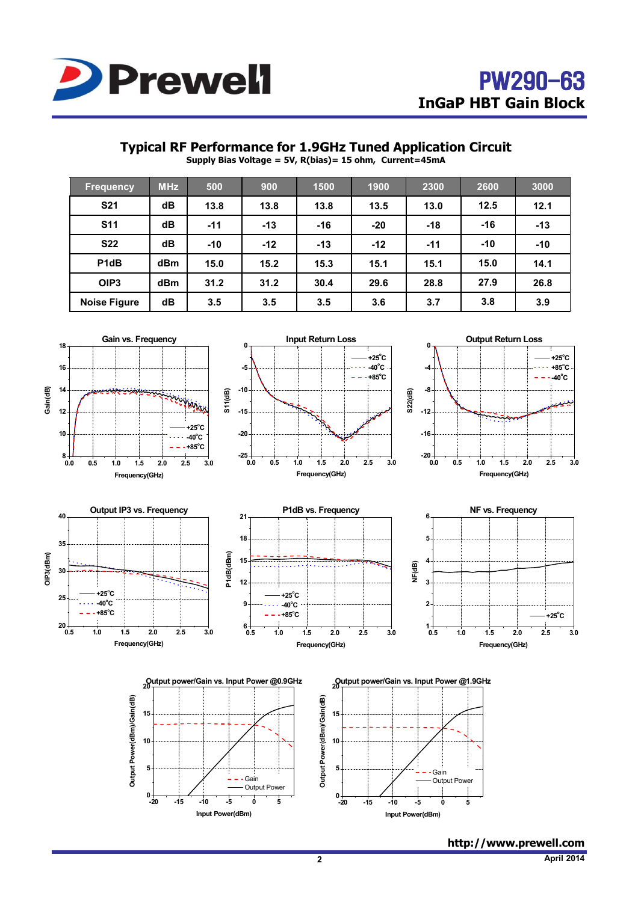

## **Typical RF Performance for 1.9GHz Tuned Application Circuit**

**Supply Bias Voltage = 5V, R(bias)= 15 ohm, Current=45mA**

| <b>Frequency</b>    | <b>MHz</b> | 500   | 900   | 1500  | 1900  | 2300  | 2600  | 3000  |
|---------------------|------------|-------|-------|-------|-------|-------|-------|-------|
| <b>S21</b>          | dB         | 13.8  | 13.8  | 13.8  | 13.5  | 13.0  | 12.5  | 12.1  |
| <b>S11</b>          | dB         | $-11$ | $-13$ | $-16$ | $-20$ | $-18$ | $-16$ | $-13$ |
| <b>S22</b>          | dB         | $-10$ | $-12$ | $-13$ | $-12$ | $-11$ | $-10$ | $-10$ |
| P1dB                | dBm        | 15.0  | 15.2  | 15.3  | 15.1  | 15.1  | 15.0  | 14.1  |
| OIP <sub>3</sub>    | <b>dBm</b> | 31.2  | 31.2  | 30.4  | 29.6  | 28.8  | 27.9  | 26.8  |
| <b>Noise Figure</b> | dB         | 3.5   | 3.5   | 3.5   | 3.6   | 3.7   | 3.8   | 3.9   |



**http://www.prewell.com**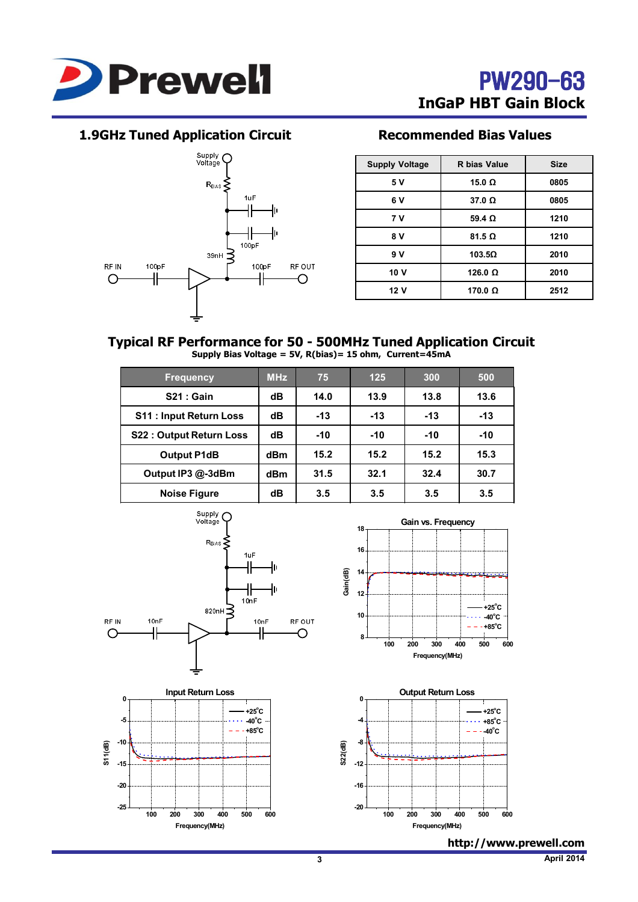

# **1.9GHz Tuned Application Circuit Recommended Bias Values**



| <b>Supply Voltage</b> | R bias Value   | <b>Size</b> |
|-----------------------|----------------|-------------|
| 5 V                   | 15.0 $\Omega$  | 0805        |
| 6 V                   | $37.0 \Omega$  | 0805        |
| 7 V                   | 59.4 $\Omega$  | 1210        |
| 8 V                   | $81.5 \Omega$  | 1210        |
| 9 V                   | $103.5\Omega$  | 2010        |
| 10 V                  | 126.0 $\Omega$ | 2010        |
| 12 V                  | 170.0 $\Omega$ | 2512        |

#### **Typical RF Performance for 50 - 500MHz Tuned Application Circuit Supply Bias Voltage = 5V, R(bias)= 15 ohm, Current=45mA**

| <b>Frequency</b>               | <b>MHz</b> | 75    | 125   | 300   | 500   |
|--------------------------------|------------|-------|-------|-------|-------|
| <b>S21 : Gain</b>              | dB         | 14.0  | 13.9  | 13.8  | 13.6  |
| <b>S11: Input Return Loss</b>  | dB         | $-13$ | $-13$ | $-13$ | $-13$ |
| <b>S22: Output Return Loss</b> | dB         | $-10$ | $-10$ | $-10$ | $-10$ |
| <b>Output P1dB</b>             | dBm        | 15.2  | 15.2  | 15.2  | 15.3  |
| Output IP3 @-3dBm              | dBm        | 31.5  | 32.1  | 32.4  | 30.7  |
| <b>Noise Figure</b>            | dB         | 3.5   | 3.5   | 3.5   | 3.5   |





**http://www.prewell.com**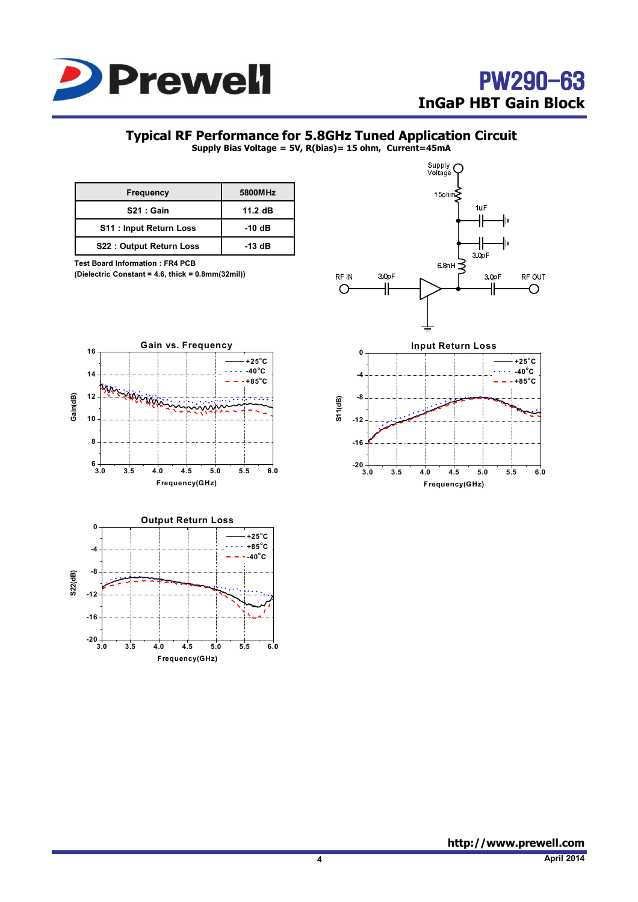

# **Typical RF Performance for 5.8GHz Tuned Application Circuit**

**Supply Bias Voltage = 5V, R(bias)= 15 ohm, Current=45mA**

| <b>Frequency</b>               | 5800MHz   |
|--------------------------------|-----------|
| S21: Gain                      | $11.2$ dB |
| <b>S11: Input Return Loss</b>  | -10 dB    |
| <b>S22: Output Return Loss</b> | -13 dB    |

**Test Board Information : FR4 PCB** 

**(Dielectric Constant = 4.6, thick = 0.8mm(32mil))** 





**3.0 3.5 4.0 4.5 5.0 5.5 6.0**

**Frequency(GHz)**